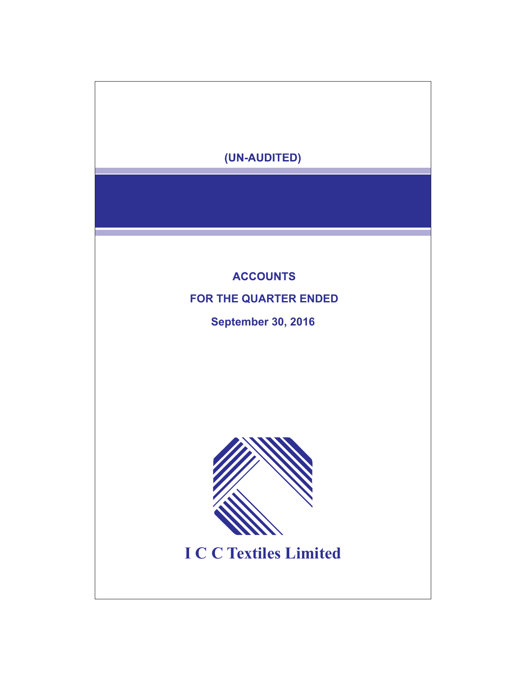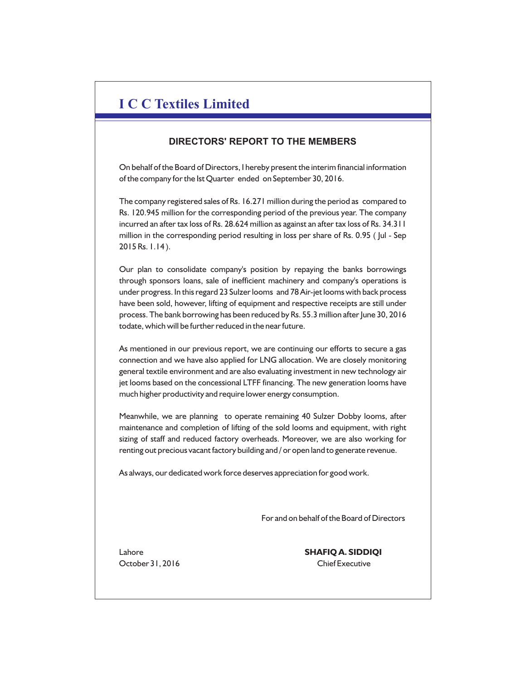# **I C C Textiles Limited**

## **DIRECTORS' REPORT TO THE MEMBERS**

On behalf of the Board of Directors, I hereby present the interim financial information of the company for the Ist Quarter ended on September 30, 2016.

The company registered sales of Rs. 16.271 million during the period as compared to Rs. 120.945 million for the corresponding period of the previous year. The company incurred an after tax loss of Rs. 28.624 million as against an after tax loss of Rs. 34.311 million in the corresponding period resulting in loss per share of Rs. 0.95 ( Jul - Sep 2015 Rs. 1.14 ).

Our plan to consolidate company's position by repaying the banks borrowings through sponsors loans, sale of inefficient machinery and company's operations is under progress. In this regard 23 Sulzer looms and 78 Air-jet looms with back process have been sold, however, lifting of equipment and respective receipts are still under process. The bank borrowing has been reduced by Rs. 55.3 million after June 30, 2016 todate, which will be further reduced in the near future.

As mentioned in our previous report, we are continuing our efforts to secure a gas connection and we have also applied for LNG allocation. We are closely monitoring general textile environment and are also evaluating investment in new technology air jet looms based on the concessional LTFF financing. The new generation looms have much higher productivity and require lower energy consumption.

Meanwhile, we are planning to operate remaining 40 Sulzer Dobby looms, after maintenance and completion of lifting of the sold looms and equipment, with right sizing of staff and reduced factory overheads. Moreover, we are also working for renting out precious vacant factory building and / or open land to generate revenue.

As always, our dedicated work force deserves appreciation for good work.

For and on behalf of the Board of Directors

Lahore **SHAFIQ A. SIDDIQI** October 31, 2016 Chief Executive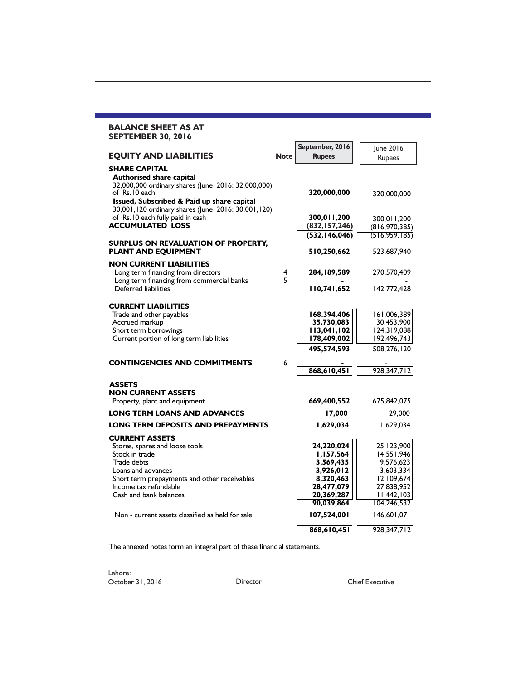| <b>EQUITY AND LIABILITIES</b><br><b>SHARE CAPITAL</b><br>Authorised share capital<br>32,000,000 ordinary shares (June 2016: 32,000,000)<br>of Rs.10 each<br>Issued, Subscribed & Paid up share capital<br>30,001,120 ordinary shares (June 2016: 30,001,120)<br>of Rs.10 each fully paid in cash<br><b>ACCUMULATED LOSS</b><br>SURPLUS ON REVALUATION OF PROPERTY, | <b>Note</b> | September, 2016<br><b>Rupees</b><br>320,000,000<br>300,011,200<br>(832, 157, 246)<br>(532, 146, 046) | June 2016<br>Rupees<br>320,000,000<br>300,011,200<br>(816, 970, 385) |
|--------------------------------------------------------------------------------------------------------------------------------------------------------------------------------------------------------------------------------------------------------------------------------------------------------------------------------------------------------------------|-------------|------------------------------------------------------------------------------------------------------|----------------------------------------------------------------------|
|                                                                                                                                                                                                                                                                                                                                                                    |             |                                                                                                      |                                                                      |
|                                                                                                                                                                                                                                                                                                                                                                    |             |                                                                                                      |                                                                      |
|                                                                                                                                                                                                                                                                                                                                                                    |             |                                                                                                      |                                                                      |
|                                                                                                                                                                                                                                                                                                                                                                    |             |                                                                                                      |                                                                      |
|                                                                                                                                                                                                                                                                                                                                                                    |             |                                                                                                      | (516, 959, 185)                                                      |
| PLANT AND EQUIPMENT                                                                                                                                                                                                                                                                                                                                                |             | 510,250,662                                                                                          | 523,687,940                                                          |
| <b>NON CURRENT LIABILITIES</b><br>Long term financing from directors                                                                                                                                                                                                                                                                                               | 4<br>5      | 284, 189, 589                                                                                        | 270,570,409                                                          |
| Long term financing from commercial banks<br>Deferred liabilities                                                                                                                                                                                                                                                                                                  |             | 110,741,652                                                                                          | 142,772,428                                                          |
|                                                                                                                                                                                                                                                                                                                                                                    |             |                                                                                                      |                                                                      |
| <b>CURRENT LIABILITIES</b><br>Trade and other payables                                                                                                                                                                                                                                                                                                             |             | 168.394.406                                                                                          | 161,006,389                                                          |
| Accrued markup                                                                                                                                                                                                                                                                                                                                                     |             | 35,730,083                                                                                           | 30,453,900                                                           |
| Short term borrowings                                                                                                                                                                                                                                                                                                                                              |             | 113,041,102                                                                                          | 124,319,088                                                          |
| Current portion of long term liabilities                                                                                                                                                                                                                                                                                                                           |             | 178,409,002                                                                                          | 192,496,743                                                          |
|                                                                                                                                                                                                                                                                                                                                                                    |             | 495,574,593                                                                                          | 508,276,120                                                          |
| <b>CONTINGENCIES AND COMMITMENTS</b>                                                                                                                                                                                                                                                                                                                               | 6           |                                                                                                      |                                                                      |
|                                                                                                                                                                                                                                                                                                                                                                    |             | 868,610,451                                                                                          | 928,347,712                                                          |
| <b>ASSETS</b>                                                                                                                                                                                                                                                                                                                                                      |             |                                                                                                      |                                                                      |
| <b>NON CURRENT ASSETS</b>                                                                                                                                                                                                                                                                                                                                          |             |                                                                                                      |                                                                      |
| Property, plant and equipment                                                                                                                                                                                                                                                                                                                                      |             | 669,400,552                                                                                          | 675,842,075                                                          |
| <b>LONG TERM LOANS AND ADVANCES</b>                                                                                                                                                                                                                                                                                                                                |             | 17,000                                                                                               | 29,000                                                               |
| <b>LONG TERM DEPOSITS AND PREPAYMENTS</b>                                                                                                                                                                                                                                                                                                                          |             | 1,629,034                                                                                            | 1,629,034                                                            |
| <b>CURRENT ASSETS</b>                                                                                                                                                                                                                                                                                                                                              |             |                                                                                                      |                                                                      |
| Stores, spares and loose tools<br>Stock in trade                                                                                                                                                                                                                                                                                                                   |             | 24,220,024                                                                                           | 25, 123, 900                                                         |
| Trade debts                                                                                                                                                                                                                                                                                                                                                        |             | 1,157,564<br>3,569,435                                                                               | 14,551,946<br>9,576,623                                              |
| Loans and advances                                                                                                                                                                                                                                                                                                                                                 |             | 3,926,012                                                                                            | 3,603,334                                                            |
| Short term prepayments and other receivables                                                                                                                                                                                                                                                                                                                       |             | 8,320,463                                                                                            | 12,109,674                                                           |
| Income tax refundable                                                                                                                                                                                                                                                                                                                                              |             | 28,477,079                                                                                           | 27,838,952                                                           |
| Cash and bank balances                                                                                                                                                                                                                                                                                                                                             |             | 20,369,287                                                                                           | 11,442,103                                                           |
|                                                                                                                                                                                                                                                                                                                                                                    |             | 90,039,864                                                                                           | 104,246,532                                                          |
| Non - current assets classified as held for sale                                                                                                                                                                                                                                                                                                                   |             | 107,524,001                                                                                          | 146,601,071                                                          |
|                                                                                                                                                                                                                                                                                                                                                                    |             | 868,610,451                                                                                          | 928,347,712                                                          |
| The annexed notes form an integral part of these financial statements.                                                                                                                                                                                                                                                                                             |             |                                                                                                      |                                                                      |
|                                                                                                                                                                                                                                                                                                                                                                    |             |                                                                                                      |                                                                      |
| Lahore:<br>October 31, 2016<br><b>Director</b>                                                                                                                                                                                                                                                                                                                     |             |                                                                                                      | <b>Chief Executive</b>                                               |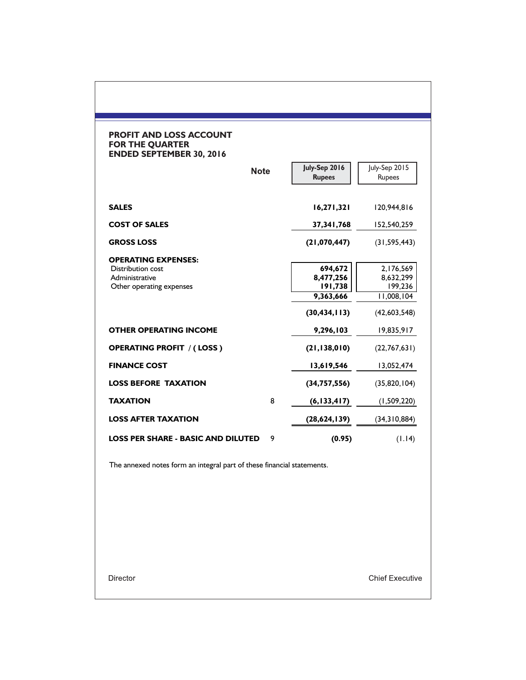### **PROFIT AND LOSS ACCOUNT FOR THE QUARTER ENDED SEPTEMBER 30, 2016**

| <b>Note</b>                                                                                          |   | July-Sep 2016<br><b>Rupees</b>                                 | July-Sep 2015<br>Rupees                                         |
|------------------------------------------------------------------------------------------------------|---|----------------------------------------------------------------|-----------------------------------------------------------------|
| <b>SALES</b>                                                                                         |   | 16,271,321                                                     | 120,944,816                                                     |
| <b>COST OF SALES</b>                                                                                 |   | 37,341,768                                                     | 152,540,259                                                     |
| <b>GROSS LOSS</b>                                                                                    |   | (21,070,447)                                                   | (31, 595, 443)                                                  |
| <b>OPERATING EXPENSES:</b><br><b>Distribution cost</b><br>Administrative<br>Other operating expenses |   | 694,672<br>8,477,256<br>191,738<br>9,363,666<br>(30, 434, 113) | 2,176,569<br>8,632,299<br>199,236<br>11,008,104<br>(42,603,548) |
| <b>OTHER OPERATING INCOME</b>                                                                        |   | 9,296,103                                                      | 19,835,917                                                      |
| <b>OPERATING PROFIT / (LOSS)</b>                                                                     |   | (21, 138, 010)                                                 | (22,767,631)                                                    |
| <b>FINANCE COST</b>                                                                                  |   | 13,619,546                                                     | 13,052,474                                                      |
| <b>LOSS BEFORE TAXATION</b>                                                                          |   | (34, 757, 556)                                                 | (35,820,104)                                                    |
| <b>TAXATION</b>                                                                                      | 8 | (6, 133, 417)                                                  | (1,509,220)                                                     |
| <b>LOSS AFTER TAXATION</b>                                                                           |   | (28,624,139)                                                   | (34,310,884)                                                    |
| <b>LOSS PER SHARE - BASIC AND DILUTED</b>                                                            | 9 | (0.95)                                                         | (1.14)                                                          |

The annexed notes form an integral part of these financial statements.

Director

**Chief Executive**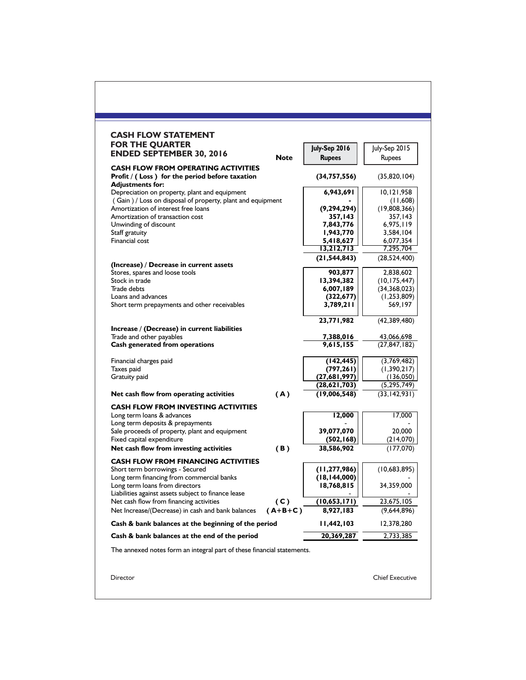| <b>CASH FLOW STATEMENT</b><br><b>FOR THE QUARTER</b>                                                        |             |                                |                            |
|-------------------------------------------------------------------------------------------------------------|-------------|--------------------------------|----------------------------|
| <b>ENDED SEPTEMBER 30, 2016</b>                                                                             | <b>Note</b> | July-Sep 2016<br><b>Rupees</b> | July-Sep 2015<br>Rupees    |
| <b>CASH FLOW FROM OPERATING ACTIVITIES</b>                                                                  |             |                                |                            |
| Profit $/$ (Loss) for the period before taxation<br><b>Adjustments for:</b>                                 |             | (34, 757, 556)                 | (35,820,104)               |
| Depreciation on property, plant and equipment<br>(Gain) / Loss on disposal of property, plant and equipment |             | 6,943,691                      | 10,121,958<br>(11,608)     |
| Amortization of interest free loans                                                                         |             | (9, 294, 294)                  | (19,808,366)               |
| Amortization of transaction cost<br>Unwinding of discount                                                   |             | 357,143<br>7,843,776           | 357,143                    |
| Staff gratuity                                                                                              |             | 1,943,770                      | 6,975,119<br>3,584,104     |
| Financial cost                                                                                              |             | 5,418,627                      | 6,077,354                  |
|                                                                                                             |             | 13,212,713                     | 7,295,704                  |
|                                                                                                             |             | (21, 544, 843)                 | (28, 524, 400)             |
| (Increase) / Decrease in current assets<br>Stores, spares and loose tools                                   |             | 903,877                        | 2,838,602                  |
| Stock in trade                                                                                              |             | 13,394,382                     | (10,175,447)               |
| Trade debts                                                                                                 |             | 6,007,189                      | (34,368,023)               |
| Loans and advances                                                                                          |             | (322, 677)                     | (1,253,809)<br>569,197     |
| Short term prepayments and other receivables                                                                |             | 3,789,211                      |                            |
|                                                                                                             |             | 23,771,982                     | (42,389,480)               |
| Increase / (Decrease) in current liabilities<br>Trade and other payables                                    |             | <u>7,388,016</u>               | 43,066,698                 |
| Cash generated from operations                                                                              |             | 9,615,155                      | (27,847,182)               |
| Financial charges paid                                                                                      |             | (142, 445)                     | (3,769,482)                |
| Taxes paid                                                                                                  |             | (797, 261)                     | (1,390,217)                |
| Gratuity paid                                                                                               |             | (27,681,997)<br>(28,621,703)   | (136,050)<br>(5, 295, 749) |
| Net cash flow from operating activities                                                                     | (A)         | (19,006,548)                   | (33, 142, 931)             |
| <b>CASH FLOW FROM INVESTING ACTIVITIES</b>                                                                  |             |                                |                            |
| Long term loans & advances<br>Long term deposits & prepayments                                              |             | 12,000                         | 17,000                     |
| Sale proceeds of property, plant and equipment                                                              |             | 39,077,070                     | 20,000                     |
| Fixed capital expenditure                                                                                   |             | (502, 168)                     | (214, 070)                 |
| Net cash flow from investing activities                                                                     | (B)         | 38,586,902                     | (177,070)                  |
| <b>CASH FLOW FROM FINANCING ACTIVITIES</b><br>Short term borrowings - Secured                               |             | (11, 277, 986)                 | (10,683,895)               |
| Long term financing from commercial banks                                                                   |             | (18, 144, 000)                 |                            |
| Long term loans from directors<br>Liabilities against assets subject to finance lease                       |             | 18,768,815                     | 34,359,000                 |
| Net cash flow from financing activities                                                                     | (C)         | (10,653,171)                   | 23,675,105                 |
| Net Increase/(Decrease) in cash and bank balances                                                           | $(A+B+C)$   | 8,927,183                      | (9,644,896)                |
| Cash & bank balances at the beginning of the period                                                         |             | 1,442,103                      | 12,378,280                 |
| Cash & bank balances at the end of the period                                                               |             | 20,369,287                     | 2,733,385                  |
| The annexed notes form an integral part of these financial statements.                                      |             |                                |                            |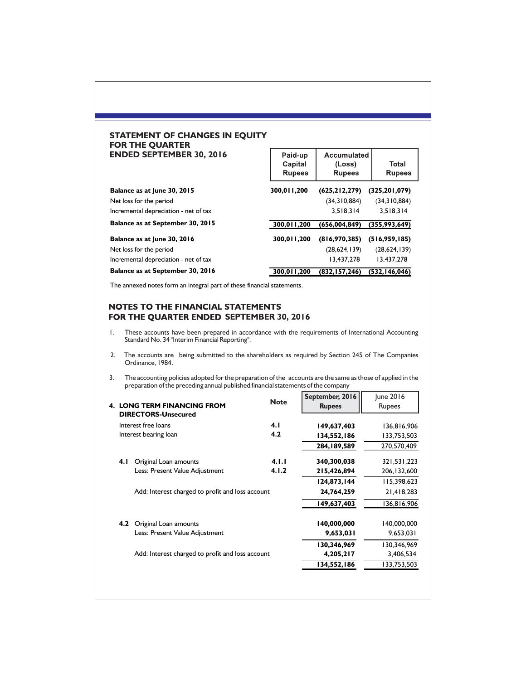### **STATEMENT OF CHANGES IN EQUITY FOR THE QUARTER ENDED SEPTEMBER 30, 2016**

| <b>ENDED SEPTEMBER 30, 2016</b>       | Paid-up<br>Capital<br><b>Rupees</b> | Accumulated<br>(Loss)<br><b>Rupees</b> | Total<br><b>Rupees</b> |
|---------------------------------------|-------------------------------------|----------------------------------------|------------------------|
| Balance as at June 30, 2015           | 300.011.200                         | (625, 212, 279)                        | (325, 201, 079)        |
| Net loss for the period               |                                     | (34,310,884)                           | (34,310,884)           |
| Incremental depreciation - net of tax |                                     | 3.518.314                              | 3.518.314              |
| Balance as at September 30, 2015      | 300,011,200                         | (656,004,849)                          | (355,993,649)          |
| Balance as at June 30, 2016           | 300.011.200                         | (816,970,385)                          | (516, 959, 185)        |
| Net loss for the period               |                                     | (28,624,139)                           | (28,624,139)           |
| Incremental depreciation - net of tax |                                     | 13.437.278                             | 13,437,278             |
| Balance as at September 30, 2016      | 300,011,200                         | (832, 157, 246)                        | (532, 146, 046)        |

The annexed notes form an integral part of these financial statements.

### NOTES TO THE FINANCIAL STATEMENTS FOR THE QUARTER ENDED SEPTEMBER 30, 2016

- 1. These accounts have been prepared in accordance with the requirements of International Accounting Standard No. 34 "Interim Financial Reporting".
- 2. The accounts are being submitted to the shareholders as required by Section 245 of The Companies Ordinance, 1984.
- 3. The accounting policies adopted for the preparation of the accounts are the same as those of applied in the preparation of the preceding annual published financial statements of the company

| <b>LONG TERM FINANCING FROM</b><br><b>DIRECTORS-Unsecured</b> | <b>Note</b> | September, 2016<br><b>Rupees</b> | June 2016<br>Rupees |
|---------------------------------------------------------------|-------------|----------------------------------|---------------------|
| Interest free loans                                           | 4.1         | 149,637,403                      | 136,816,906         |
| Interest bearing loan                                         | 4.2         | 134,552,186                      | 133,753,503         |
|                                                               |             | 284,189,589                      | 270,570,409         |
| Original Loan amounts<br>4. I                                 | 4.1.1       | 340,300,038                      | 321,531,223         |
| Less: Present Value Adjustment                                | 4.1.2       | 215,426,894                      | 206, 132, 600       |
|                                                               |             | 124,873,144                      | 115,398,623         |
| Add: Interest charged to profit and loss account              |             | 24,764,259                       | 21,418,283          |
|                                                               |             | 149,637,403                      | 136,816,906         |
| Original Loan amounts<br>4.2                                  |             | 140,000,000                      | 140,000,000         |
| Less: Present Value Adjustment                                |             | 9,653,031                        | 9,653,031           |
|                                                               |             | 130,346,969                      | 130,346,969         |
| Add: Interest charged to profit and loss account              |             | 4,205,217                        | 3,406,534           |
|                                                               |             | 134,552,186                      | 133,753,503         |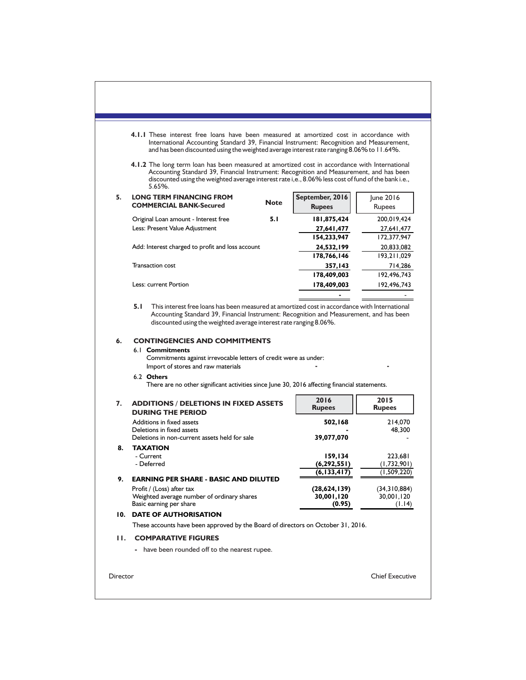| 7.<br>8.<br>9.<br>н. | There are no other significant activities since June 30, 2016 affecting financial statements.<br><b>ADDITIONS / DELETIONS IN FIXED ASSETS</b><br><b>DURING THE PERIOD</b><br>Additions in fixed assets<br>Deletions in fixed assets<br>Deletions in non-current assets held for sale<br><b>TAXATION</b><br>- Current<br>- Deferred<br>EARNING PER SHARE - BASIC AND DILUTED<br>Profit / (Loss) after tax<br>Weighted average number of ordinary shares<br>Basic earning per share<br>10. DATE OF AUTHORISATION<br>These accounts have been approved by the Board of directors on October 31, 2016.<br><b>COMPARATIVE FIGURES</b> |             | 2016<br><b>Rupees</b><br>502,168<br>39,077,070<br>159,134<br>(6, 292, 551)<br>(6, 133, 417)<br>(28,624,139)<br>30,001,120<br>(0.95) | 2015<br>Rupees<br>214,070<br>48,300<br>223,681<br>(1,732,901)<br>(1,509,220)<br>(34,310,884)<br>30,001,120<br>(1.14) |  |
|----------------------|----------------------------------------------------------------------------------------------------------------------------------------------------------------------------------------------------------------------------------------------------------------------------------------------------------------------------------------------------------------------------------------------------------------------------------------------------------------------------------------------------------------------------------------------------------------------------------------------------------------------------------|-------------|-------------------------------------------------------------------------------------------------------------------------------------|----------------------------------------------------------------------------------------------------------------------|--|
|                      |                                                                                                                                                                                                                                                                                                                                                                                                                                                                                                                                                                                                                                  |             |                                                                                                                                     |                                                                                                                      |  |
|                      |                                                                                                                                                                                                                                                                                                                                                                                                                                                                                                                                                                                                                                  |             |                                                                                                                                     |                                                                                                                      |  |
|                      |                                                                                                                                                                                                                                                                                                                                                                                                                                                                                                                                                                                                                                  |             |                                                                                                                                     |                                                                                                                      |  |
|                      |                                                                                                                                                                                                                                                                                                                                                                                                                                                                                                                                                                                                                                  |             |                                                                                                                                     |                                                                                                                      |  |
|                      |                                                                                                                                                                                                                                                                                                                                                                                                                                                                                                                                                                                                                                  |             |                                                                                                                                     |                                                                                                                      |  |
|                      |                                                                                                                                                                                                                                                                                                                                                                                                                                                                                                                                                                                                                                  |             |                                                                                                                                     |                                                                                                                      |  |
|                      |                                                                                                                                                                                                                                                                                                                                                                                                                                                                                                                                                                                                                                  |             |                                                                                                                                     |                                                                                                                      |  |
|                      |                                                                                                                                                                                                                                                                                                                                                                                                                                                                                                                                                                                                                                  |             |                                                                                                                                     |                                                                                                                      |  |
|                      |                                                                                                                                                                                                                                                                                                                                                                                                                                                                                                                                                                                                                                  |             |                                                                                                                                     |                                                                                                                      |  |
|                      |                                                                                                                                                                                                                                                                                                                                                                                                                                                                                                                                                                                                                                  |             |                                                                                                                                     |                                                                                                                      |  |
|                      |                                                                                                                                                                                                                                                                                                                                                                                                                                                                                                                                                                                                                                  |             |                                                                                                                                     |                                                                                                                      |  |
|                      |                                                                                                                                                                                                                                                                                                                                                                                                                                                                                                                                                                                                                                  |             |                                                                                                                                     |                                                                                                                      |  |
|                      |                                                                                                                                                                                                                                                                                                                                                                                                                                                                                                                                                                                                                                  |             |                                                                                                                                     |                                                                                                                      |  |
|                      | Import of stores and raw materials<br>6.2 Others                                                                                                                                                                                                                                                                                                                                                                                                                                                                                                                                                                                 |             |                                                                                                                                     |                                                                                                                      |  |
|                      | 6.1 <b>Commitments</b><br>Commitments against irrevocable letters of credit were as under:                                                                                                                                                                                                                                                                                                                                                                                                                                                                                                                                       |             |                                                                                                                                     |                                                                                                                      |  |
| 6.                   | Accounting Standard 39, Financial Instrument: Recognition and Measurement, and has been<br>discounted using the weighted average interest rate ranging 8.06%.<br><b>CONTINGENCIES AND COMMITMENTS</b>                                                                                                                                                                                                                                                                                                                                                                                                                            |             |                                                                                                                                     |                                                                                                                      |  |
|                      | 5. I<br>This interest free loans has been measured at amortized cost in accordance with International                                                                                                                                                                                                                                                                                                                                                                                                                                                                                                                            |             |                                                                                                                                     |                                                                                                                      |  |
|                      |                                                                                                                                                                                                                                                                                                                                                                                                                                                                                                                                                                                                                                  |             |                                                                                                                                     |                                                                                                                      |  |
|                      | Less: current Portion                                                                                                                                                                                                                                                                                                                                                                                                                                                                                                                                                                                                            |             | 178,409,003                                                                                                                         | 192,496,743                                                                                                          |  |
|                      | Transaction cost                                                                                                                                                                                                                                                                                                                                                                                                                                                                                                                                                                                                                 |             | 357,143<br>178,409,003                                                                                                              | 714,286<br>192,496,743                                                                                               |  |
|                      |                                                                                                                                                                                                                                                                                                                                                                                                                                                                                                                                                                                                                                  |             | 178,766,146                                                                                                                         | 193,211,029                                                                                                          |  |
|                      | Add: Interest charged to profit and loss account                                                                                                                                                                                                                                                                                                                                                                                                                                                                                                                                                                                 |             | 24,532,199                                                                                                                          | 20,833,082                                                                                                           |  |
|                      |                                                                                                                                                                                                                                                                                                                                                                                                                                                                                                                                                                                                                                  |             | 154,233,947                                                                                                                         | 172,377,947                                                                                                          |  |
|                      | Less: Present Value Adjustment                                                                                                                                                                                                                                                                                                                                                                                                                                                                                                                                                                                                   |             | 27,641,477                                                                                                                          | 27,641,477                                                                                                           |  |
|                      | Original Loan amount - Interest free                                                                                                                                                                                                                                                                                                                                                                                                                                                                                                                                                                                             | 5.1         | 181,875,424                                                                                                                         | 200,019,424                                                                                                          |  |
| 5.                   | <b>LONG TERM FINANCING FROM</b><br><b>COMMERCIAL BANK-Secured</b>                                                                                                                                                                                                                                                                                                                                                                                                                                                                                                                                                                | <b>Note</b> | September, 2016<br><b>Rupees</b>                                                                                                    | $ $ une 2016<br>Rupees                                                                                               |  |
|                      | 4.1.2 The long term loan has been measured at amortized cost in accordance with International<br>Accounting Standard 39, Financial Instrument: Recognition and Measurement, and has been<br>discounted using the weighted average interest rate i,e., 8.06% less cost of fund of the bank i.e.,<br>$5.65%$ .                                                                                                                                                                                                                                                                                                                     |             |                                                                                                                                     |                                                                                                                      |  |
|                      |                                                                                                                                                                                                                                                                                                                                                                                                                                                                                                                                                                                                                                  |             |                                                                                                                                     |                                                                                                                      |  |
|                      | International Accounting Standard 39, Financial Instrument: Recognition and Measurement,<br>and has been discounted using the weighted average interest rate ranging $8.06\%$ to 11.64%.                                                                                                                                                                                                                                                                                                                                                                                                                                         |             |                                                                                                                                     |                                                                                                                      |  |